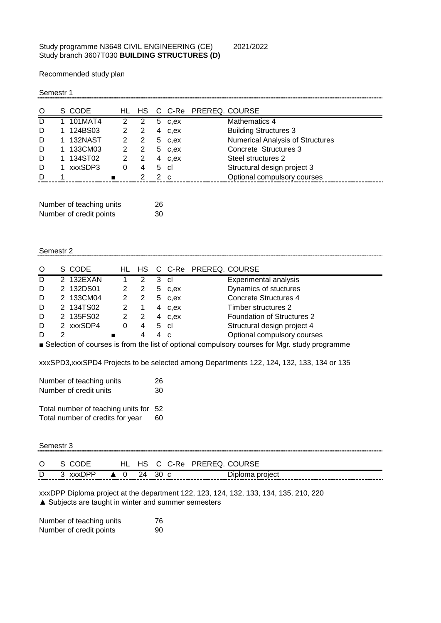## Study programme N3648 CIVIL ENGINEERING (CE) 2021/2022 Study branch 3607T030 **BUILDING STRUCTURES (D)**

Recommended study plan

Semestr 1

| O | S CODE  |   |   |   |      | HL HS C C-Re PREREQ. COURSE |                                         |
|---|---------|---|---|---|------|-----------------------------|-----------------------------------------|
|   | 101MAT4 |   |   | 5 | c.ex |                             | Mathematics 4                           |
| D | 124BS03 |   |   | 4 | c.ex |                             | <b>Building Structures 3</b>            |
| D | 132NAST |   | 2 | 5 | c.ex |                             | <b>Numerical Analysis of Structures</b> |
| D | 133CM03 |   | 2 | 5 | c.ex |                             | Concrete Structures 3                   |
| D | 134ST02 |   |   | 4 | c.ex |                             | Steel structures 2                      |
|   | xxxSDP3 | 0 |   | 5 | -cl  |                             | Structural design project 3             |
|   |         |   |   | 2 | - C  |                             | Optional compulsory courses             |
|   |         |   |   |   |      |                             |                                         |

| Number of teaching units | 26 |
|--------------------------|----|
| Number of credit points  | 30 |

## Semestr 2

| O | S CODE    |   | HL HS                   |   |              | C C-Re PREREQ. COURSE |                                   |
|---|-----------|---|-------------------------|---|--------------|-----------------------|-----------------------------------|
| D | 2 132EXAN |   | 2                       | 3 | .cl          |                       | <b>Experimental analysis</b>      |
| D | 2 132DS01 |   | 2                       | 5 | c.ex         |                       | Dynamics of stuctures             |
| D | 2 133CM04 |   | $\overline{\mathbf{2}}$ | 5 | c.ex         |                       | <b>Concrete Structures 4</b>      |
| D | 2 134TS02 |   |                         | 4 | c.ex         |                       | Timber structures 2               |
| D | 2 135FS02 |   | $\overline{2}$          | 4 | c.ex         |                       | <b>Foundation of Structures 2</b> |
| D | 2 xxxSDP4 | 0 | 4                       | 5 | - cl         |                       | Structural design project 4       |
| D |           |   |                         |   | <sub>c</sub> |                       | Optional compulsory courses       |

■ Selection of courses is from the list of optional compulsory courses for Mgr. study programme

xxxSPD3,xxxSPD4 Projects to be selected among Departments 122, 124, 132, 133, 134 or 135

| Number of teaching units | 26 |
|--------------------------|----|
| Number of credit units   | 30 |
|                          |    |

Total number of teaching units for 52<br>Total number of credits for year 60 Total number of credits for year

| Semestr 3 |          |  |  |                       |                            |  |  |  |  |  |
|-----------|----------|--|--|-----------------------|----------------------------|--|--|--|--|--|
| $\circ$   | S CODE   |  |  |                       | HL HS C C-Re PREREQ COURSE |  |  |  |  |  |
| D         | 3 xxxDPP |  |  | $\triangle$ 0 24 30 c | Diploma project            |  |  |  |  |  |

xxxDPP Diploma project at the department 122, 123, 124, 132, 133, 134, 135, 210, 220 ▲ Subjects are taught in winter and summer semesters

Number of teaching units 76 Number of credit points 90